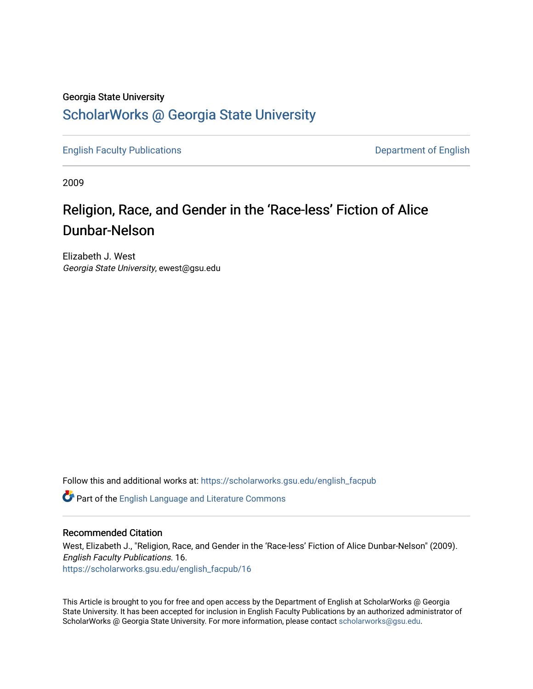## Georgia State University [ScholarWorks @ Georgia State University](https://scholarworks.gsu.edu/)

[English Faculty Publications](https://scholarworks.gsu.edu/english_facpub) **Department of English** 

2009

## Religion, Race, and Gender in the 'Race-less' Fiction of Alice Dunbar-Nelson

Elizabeth J. West Georgia State University, ewest@gsu.edu

Follow this and additional works at: [https://scholarworks.gsu.edu/english\\_facpub](https://scholarworks.gsu.edu/english_facpub?utm_source=scholarworks.gsu.edu%2Fenglish_facpub%2F16&utm_medium=PDF&utm_campaign=PDFCoverPages)

Part of the [English Language and Literature Commons](http://network.bepress.com/hgg/discipline/455?utm_source=scholarworks.gsu.edu%2Fenglish_facpub%2F16&utm_medium=PDF&utm_campaign=PDFCoverPages)

## Recommended Citation

West, Elizabeth J., "Religion, Race, and Gender in the 'Race-less' Fiction of Alice Dunbar-Nelson" (2009). English Faculty Publications. 16. [https://scholarworks.gsu.edu/english\\_facpub/16](https://scholarworks.gsu.edu/english_facpub/16?utm_source=scholarworks.gsu.edu%2Fenglish_facpub%2F16&utm_medium=PDF&utm_campaign=PDFCoverPages) 

This Article is brought to you for free and open access by the Department of English at ScholarWorks @ Georgia State University. It has been accepted for inclusion in English Faculty Publications by an authorized administrator of ScholarWorks @ Georgia State University. For more information, please contact [scholarworks@gsu.edu](mailto:scholarworks@gsu.edu).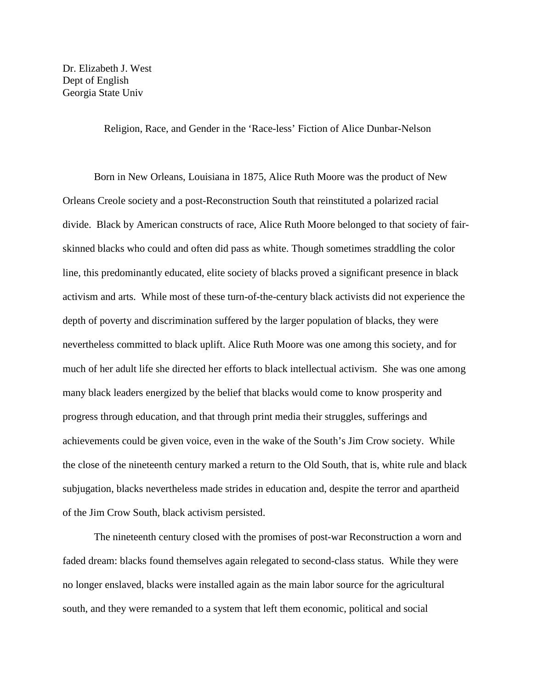Dr. Elizabeth J. West Dept of English Georgia State Univ

Religion, Race, and Gender in the 'Race-less' Fiction of Alice Dunbar-Nelson

Born in New Orleans, Louisiana in 1875, Alice Ruth Moore was the product of New Orleans Creole society and a post-Reconstruction South that reinstituted a polarized racial divide. Black by American constructs of race, Alice Ruth Moore belonged to that society of fairskinned blacks who could and often did pass as white. Though sometimes straddling the color line, this predominantly educated, elite society of blacks proved a significant presence in black activism and arts. While most of these turn-of-the-century black activists did not experience the depth of poverty and discrimination suffered by the larger population of blacks, they were nevertheless committed to black uplift. Alice Ruth Moore was one among this society, and for much of her adult life she directed her efforts to black intellectual activism. She was one among many black leaders energized by the belief that blacks would come to know prosperity and progress through education, and that through print media their struggles, sufferings and achievements could be given voice, even in the wake of the South's Jim Crow society. While the close of the nineteenth century marked a return to the Old South, that is, white rule and black subjugation, blacks nevertheless made strides in education and, despite the terror and apartheid of the Jim Crow South, black activism persisted.

The nineteenth century closed with the promises of post-war Reconstruction a worn and faded dream: blacks found themselves again relegated to second-class status. While they were no longer enslaved, blacks were installed again as the main labor source for the agricultural south, and they were remanded to a system that left them economic, political and social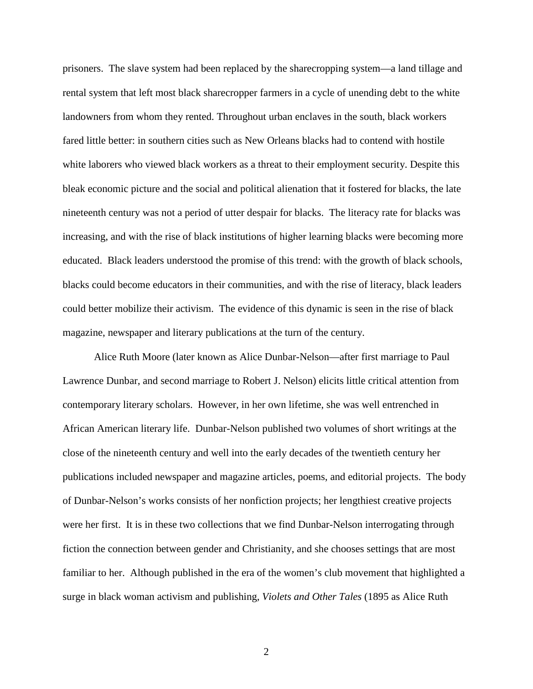prisoners. The slave system had been replaced by the sharecropping system—a land tillage and rental system that left most black sharecropper farmers in a cycle of unending debt to the white landowners from whom they rented. Throughout urban enclaves in the south, black workers fared little better: in southern cities such as New Orleans blacks had to contend with hostile white laborers who viewed black workers as a threat to their employment security. Despite this bleak economic picture and the social and political alienation that it fostered for blacks, the late nineteenth century was not a period of utter despair for blacks. The literacy rate for blacks was increasing, and with the rise of black institutions of higher learning blacks were becoming more educated. Black leaders understood the promise of this trend: with the growth of black schools, blacks could become educators in their communities, and with the rise of literacy, black leaders could better mobilize their activism. The evidence of this dynamic is seen in the rise of black magazine, newspaper and literary publications at the turn of the century.

Alice Ruth Moore (later known as Alice Dunbar-Nelson—after first marriage to Paul Lawrence Dunbar, and second marriage to Robert J. Nelson) elicits little critical attention from contemporary literary scholars. However, in her own lifetime, she was well entrenched in African American literary life. Dunbar-Nelson published two volumes of short writings at the close of the nineteenth century and well into the early decades of the twentieth century her publications included newspaper and magazine articles, poems, and editorial projects. The body of Dunbar-Nelson's works consists of her nonfiction projects; her lengthiest creative projects were her first. It is in these two collections that we find Dunbar-Nelson interrogating through fiction the connection between gender and Christianity, and she chooses settings that are most familiar to her. Although published in the era of the women's club movement that highlighted a surge in black woman activism and publishing, *Violets and Other Tales* (1895 as Alice Ruth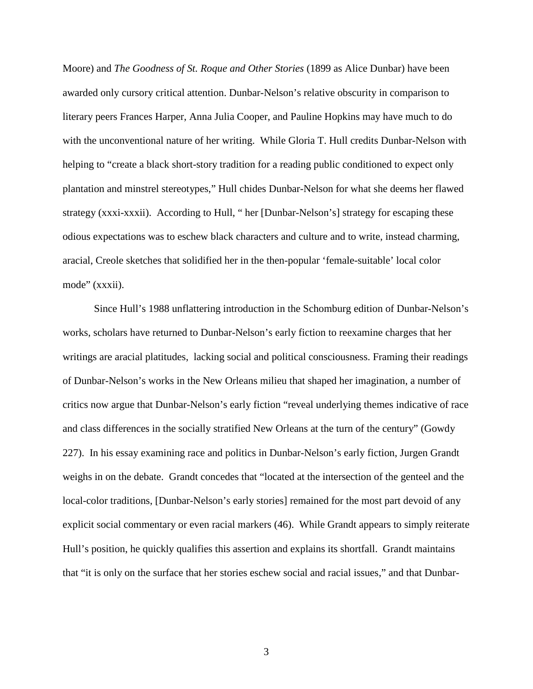Moore) and *The Goodness of St. Roque and Other Stories* (1899 as Alice Dunbar) have been awarded only cursory critical attention. Dunbar-Nelson's relative obscurity in comparison to literary peers Frances Harper, Anna Julia Cooper, and Pauline Hopkins may have much to do with the unconventional nature of her writing. While Gloria T. Hull credits Dunbar-Nelson with helping to "create a black short-story tradition for a reading public conditioned to expect only plantation and minstrel stereotypes," Hull chides Dunbar-Nelson for what she deems her flawed strategy (xxxi-xxxii). According to Hull, " her [Dunbar-Nelson's] strategy for escaping these odious expectations was to eschew black characters and culture and to write, instead charming, aracial, Creole sketches that solidified her in the then-popular 'female-suitable' local color mode" (xxxii).

Since Hull's 1988 unflattering introduction in the Schomburg edition of Dunbar-Nelson's works, scholars have returned to Dunbar-Nelson's early fiction to reexamine charges that her writings are aracial platitudes, lacking social and political consciousness. Framing their readings of Dunbar-Nelson's works in the New Orleans milieu that shaped her imagination, a number of critics now argue that Dunbar-Nelson's early fiction "reveal underlying themes indicative of race and class differences in the socially stratified New Orleans at the turn of the century" (Gowdy 227). In his essay examining race and politics in Dunbar-Nelson's early fiction, Jurgen Grandt weighs in on the debate. Grandt concedes that "located at the intersection of the genteel and the local-color traditions, [Dunbar-Nelson's early stories] remained for the most part devoid of any explicit social commentary or even racial markers (46). While Grandt appears to simply reiterate Hull's position, he quickly qualifies this assertion and explains its shortfall. Grandt maintains that "it is only on the surface that her stories eschew social and racial issues," and that Dunbar-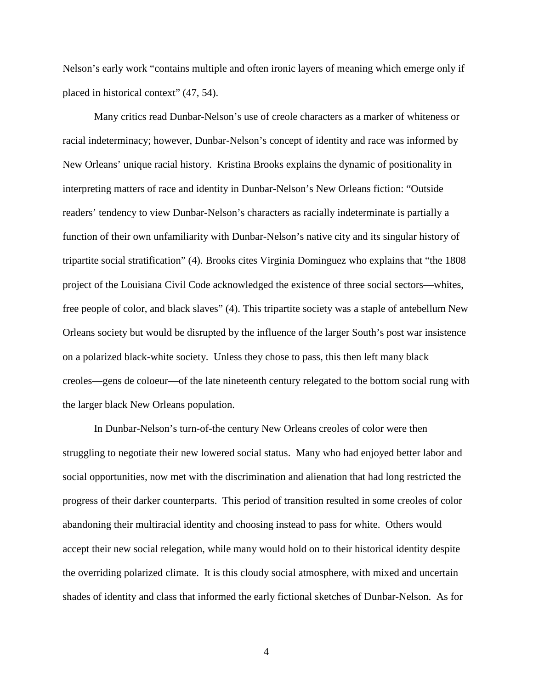Nelson's early work "contains multiple and often ironic layers of meaning which emerge only if placed in historical context" (47, 54).

Many critics read Dunbar-Nelson's use of creole characters as a marker of whiteness or racial indeterminacy; however, Dunbar-Nelson's concept of identity and race was informed by New Orleans' unique racial history. Kristina Brooks explains the dynamic of positionality in interpreting matters of race and identity in Dunbar-Nelson's New Orleans fiction: "Outside readers' tendency to view Dunbar-Nelson's characters as racially indeterminate is partially a function of their own unfamiliarity with Dunbar-Nelson's native city and its singular history of tripartite social stratification" (4). Brooks cites Virginia Dominguez who explains that "the 1808 project of the Louisiana Civil Code acknowledged the existence of three social sectors—whites, free people of color, and black slaves" (4). This tripartite society was a staple of antebellum New Orleans society but would be disrupted by the influence of the larger South's post war insistence on a polarized black-white society. Unless they chose to pass, this then left many black creoles—gens de coloeur—of the late nineteenth century relegated to the bottom social rung with the larger black New Orleans population.

In Dunbar-Nelson's turn-of-the century New Orleans creoles of color were then struggling to negotiate their new lowered social status. Many who had enjoyed better labor and social opportunities, now met with the discrimination and alienation that had long restricted the progress of their darker counterparts. This period of transition resulted in some creoles of color abandoning their multiracial identity and choosing instead to pass for white. Others would accept their new social relegation, while many would hold on to their historical identity despite the overriding polarized climate. It is this cloudy social atmosphere, with mixed and uncertain shades of identity and class that informed the early fictional sketches of Dunbar-Nelson. As for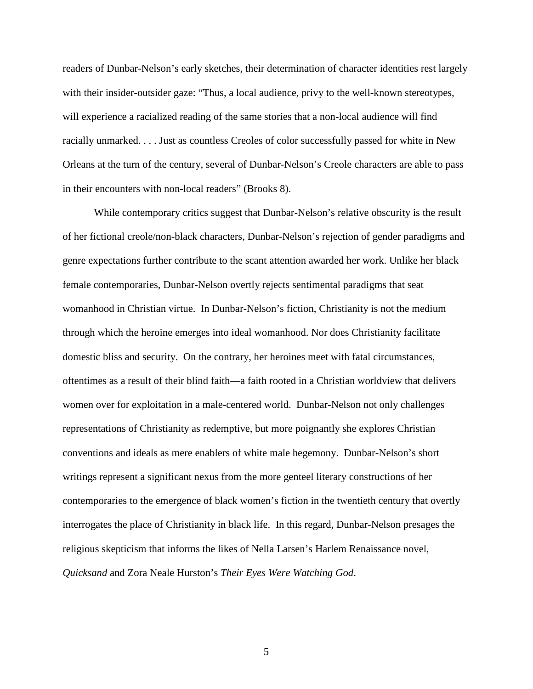readers of Dunbar-Nelson's early sketches, their determination of character identities rest largely with their insider-outsider gaze: "Thus, a local audience, privy to the well-known stereotypes, will experience a racialized reading of the same stories that a non-local audience will find racially unmarked. . . . Just as countless Creoles of color successfully passed for white in New Orleans at the turn of the century, several of Dunbar-Nelson's Creole characters are able to pass in their encounters with non-local readers" (Brooks 8).

While contemporary critics suggest that Dunbar-Nelson's relative obscurity is the result of her fictional creole/non-black characters, Dunbar-Nelson's rejection of gender paradigms and genre expectations further contribute to the scant attention awarded her work. Unlike her black female contemporaries, Dunbar-Nelson overtly rejects sentimental paradigms that seat womanhood in Christian virtue. In Dunbar-Nelson's fiction, Christianity is not the medium through which the heroine emerges into ideal womanhood. Nor does Christianity facilitate domestic bliss and security. On the contrary, her heroines meet with fatal circumstances, oftentimes as a result of their blind faith—a faith rooted in a Christian worldview that delivers women over for exploitation in a male-centered world. Dunbar-Nelson not only challenges representations of Christianity as redemptive, but more poignantly she explores Christian conventions and ideals as mere enablers of white male hegemony. Dunbar-Nelson's short writings represent a significant nexus from the more genteel literary constructions of her contemporaries to the emergence of black women's fiction in the twentieth century that overtly interrogates the place of Christianity in black life. In this regard, Dunbar-Nelson presages the religious skepticism that informs the likes of Nella Larsen's Harlem Renaissance novel, *Quicksand* and Zora Neale Hurston's *Their Eyes Were Watching God*.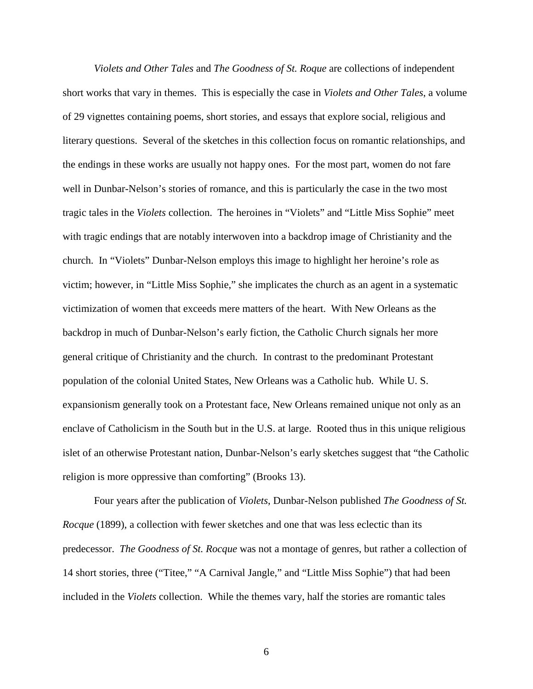*Violets and Other Tales* and *The Goodness of St. Roque* are collections of independent short works that vary in themes. This is especially the case in *Violets and Other Tales*, a volume of 29 vignettes containing poems, short stories, and essays that explore social, religious and literary questions. Several of the sketches in this collection focus on romantic relationships, and the endings in these works are usually not happy ones. For the most part, women do not fare well in Dunbar-Nelson's stories of romance, and this is particularly the case in the two most tragic tales in the *Violets* collection. The heroines in "Violets" and "Little Miss Sophie" meet with tragic endings that are notably interwoven into a backdrop image of Christianity and the church. In "Violets" Dunbar-Nelson employs this image to highlight her heroine's role as victim; however, in "Little Miss Sophie," she implicates the church as an agent in a systematic victimization of women that exceeds mere matters of the heart. With New Orleans as the backdrop in much of Dunbar-Nelson's early fiction, the Catholic Church signals her more general critique of Christianity and the church. In contrast to the predominant Protestant population of the colonial United States, New Orleans was a Catholic hub. While U. S. expansionism generally took on a Protestant face, New Orleans remained unique not only as an enclave of Catholicism in the South but in the U.S. at large. Rooted thus in this unique religious islet of an otherwise Protestant nation, Dunbar-Nelson's early sketches suggest that "the Catholic religion is more oppressive than comforting" (Brooks 13).

Four years after the publication of *Violets*, Dunbar-Nelson published *The Goodness of St. Rocque* (1899), a collection with fewer sketches and one that was less eclectic than its predecessor. *The Goodness of St. Rocque* was not a montage of genres, but rather a collection of 14 short stories, three ("Titee," "A Carnival Jangle," and "Little Miss Sophie") that had been included in the *Violets* collection. While the themes vary, half the stories are romantic tales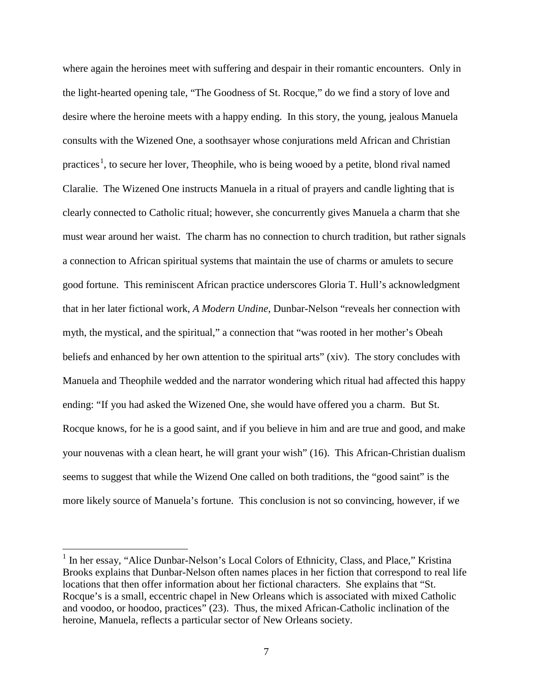where again the heroines meet with suffering and despair in their romantic encounters. Only in the light-hearted opening tale, "The Goodness of St. Rocque," do we find a story of love and desire where the heroine meets with a happy ending. In this story, the young, jealous Manuela consults with the Wizened One, a soothsayer whose conjurations meld African and Christian practices<sup>[1](#page-7-0)</sup>, to secure her lover, Theophile, who is being wooed by a petite, blond rival named Claralie. The Wizened One instructs Manuela in a ritual of prayers and candle lighting that is clearly connected to Catholic ritual; however, she concurrently gives Manuela a charm that she must wear around her waist. The charm has no connection to church tradition, but rather signals a connection to African spiritual systems that maintain the use of charms or amulets to secure good fortune. This reminiscent African practice underscores Gloria T. Hull's acknowledgment that in her later fictional work, *A Modern Undine*, Dunbar-Nelson "reveals her connection with myth, the mystical, and the spiritual," a connection that "was rooted in her mother's Obeah beliefs and enhanced by her own attention to the spiritual arts" (xiv). The story concludes with Manuela and Theophile wedded and the narrator wondering which ritual had affected this happy ending: "If you had asked the Wizened One, she would have offered you a charm. But St. Rocque knows, for he is a good saint, and if you believe in him and are true and good, and make your nouvenas with a clean heart, he will grant your wish" (16). This African-Christian dualism seems to suggest that while the Wizend One called on both traditions, the "good saint" is the more likely source of Manuela's fortune. This conclusion is not so convincing, however, if we

<span id="page-7-0"></span><sup>&</sup>lt;sup>1</sup> In her essay, "Alice Dunbar-Nelson's Local Colors of Ethnicity, Class, and Place," Kristina Brooks explains that Dunbar-Nelson often names places in her fiction that correspond to real life locations that then offer information about her fictional characters. She explains that "St. Rocque's is a small, eccentric chapel in New Orleans which is associated with mixed Catholic and voodoo, or hoodoo, practices" (23). Thus, the mixed African-Catholic inclination of the heroine, Manuela, reflects a particular sector of New Orleans society.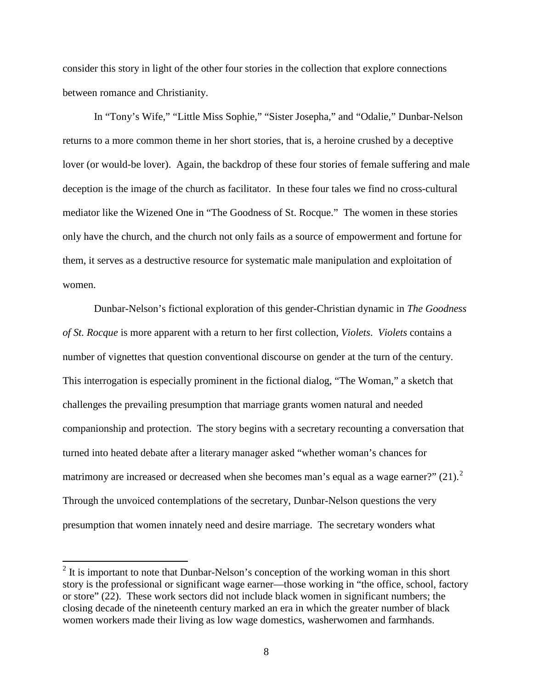consider this story in light of the other four stories in the collection that explore connections between romance and Christianity.

In "Tony's Wife," "Little Miss Sophie," "Sister Josepha," and "Odalie," Dunbar-Nelson returns to a more common theme in her short stories, that is, a heroine crushed by a deceptive lover (or would-be lover). Again, the backdrop of these four stories of female suffering and male deception is the image of the church as facilitator. In these four tales we find no cross-cultural mediator like the Wizened One in "The Goodness of St. Rocque." The women in these stories only have the church, and the church not only fails as a source of empowerment and fortune for them, it serves as a destructive resource for systematic male manipulation and exploitation of women.

Dunbar-Nelson's fictional exploration of this gender-Christian dynamic in *The Goodness of St. Rocque* is more apparent with a return to her first collection, *Violets*. *Violets* contains a number of vignettes that question conventional discourse on gender at the turn of the century. This interrogation is especially prominent in the fictional dialog, "The Woman," a sketch that challenges the prevailing presumption that marriage grants women natural and needed companionship and protection. The story begins with a secretary recounting a conversation that turned into heated debate after a literary manager asked "whether woman's chances for matrimony are increased or decreased when she becomes man's equal as a wage earner?"  $(21).^2$  $(21).^2$  $(21).^2$ Through the unvoiced contemplations of the secretary, Dunbar-Nelson questions the very presumption that women innately need and desire marriage. The secretary wonders what

<span id="page-8-0"></span> $2$  It is important to note that Dunbar-Nelson's conception of the working woman in this short story is the professional or significant wage earner—those working in "the office, school, factory or store" (22). These work sectors did not include black women in significant numbers; the closing decade of the nineteenth century marked an era in which the greater number of black women workers made their living as low wage domestics, washerwomen and farmhands.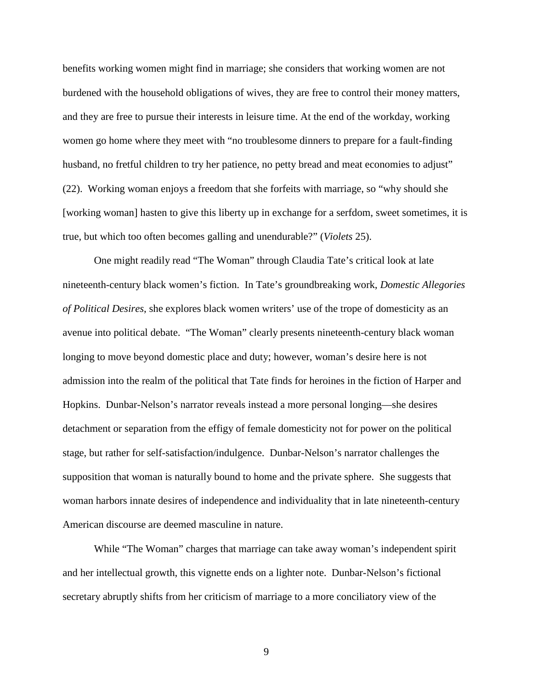benefits working women might find in marriage; she considers that working women are not burdened with the household obligations of wives, they are free to control their money matters, and they are free to pursue their interests in leisure time. At the end of the workday, working women go home where they meet with "no troublesome dinners to prepare for a fault-finding husband, no fretful children to try her patience, no petty bread and meat economies to adjust" (22). Working woman enjoys a freedom that she forfeits with marriage, so "why should she [working woman] hasten to give this liberty up in exchange for a serfdom, sweet sometimes, it is true, but which too often becomes galling and unendurable?" (*Violets* 25).

One might readily read "The Woman" through Claudia Tate's critical look at late nineteenth-century black women's fiction. In Tate's groundbreaking work, *Domestic Allegories of Political Desires*, she explores black women writers' use of the trope of domesticity as an avenue into political debate. "The Woman" clearly presents nineteenth-century black woman longing to move beyond domestic place and duty; however, woman's desire here is not admission into the realm of the political that Tate finds for heroines in the fiction of Harper and Hopkins. Dunbar-Nelson's narrator reveals instead a more personal longing—she desires detachment or separation from the effigy of female domesticity not for power on the political stage, but rather for self-satisfaction/indulgence. Dunbar-Nelson's narrator challenges the supposition that woman is naturally bound to home and the private sphere. She suggests that woman harbors innate desires of independence and individuality that in late nineteenth-century American discourse are deemed masculine in nature.

While "The Woman" charges that marriage can take away woman's independent spirit and her intellectual growth, this vignette ends on a lighter note. Dunbar-Nelson's fictional secretary abruptly shifts from her criticism of marriage to a more conciliatory view of the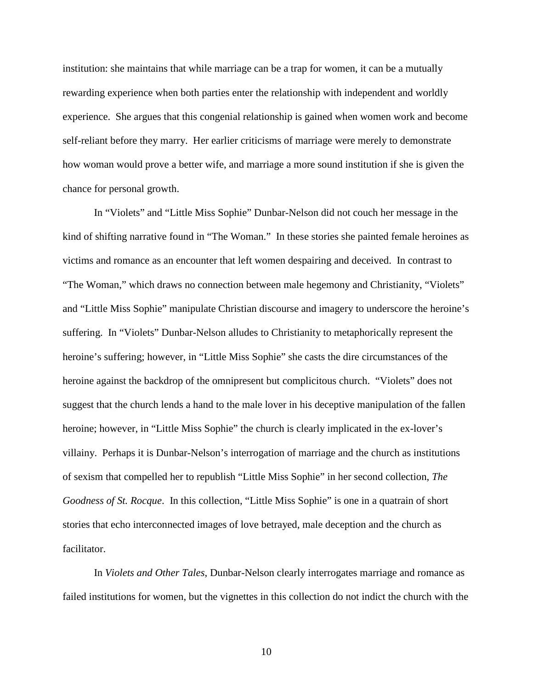institution: she maintains that while marriage can be a trap for women, it can be a mutually rewarding experience when both parties enter the relationship with independent and worldly experience. She argues that this congenial relationship is gained when women work and become self-reliant before they marry. Her earlier criticisms of marriage were merely to demonstrate how woman would prove a better wife, and marriage a more sound institution if she is given the chance for personal growth.

In "Violets" and "Little Miss Sophie" Dunbar-Nelson did not couch her message in the kind of shifting narrative found in "The Woman." In these stories she painted female heroines as victims and romance as an encounter that left women despairing and deceived. In contrast to "The Woman," which draws no connection between male hegemony and Christianity, "Violets" and "Little Miss Sophie" manipulate Christian discourse and imagery to underscore the heroine's suffering. In "Violets" Dunbar-Nelson alludes to Christianity to metaphorically represent the heroine's suffering; however, in "Little Miss Sophie" she casts the dire circumstances of the heroine against the backdrop of the omnipresent but complicitous church. "Violets" does not suggest that the church lends a hand to the male lover in his deceptive manipulation of the fallen heroine; however, in "Little Miss Sophie" the church is clearly implicated in the ex-lover's villainy. Perhaps it is Dunbar-Nelson's interrogation of marriage and the church as institutions of sexism that compelled her to republish "Little Miss Sophie" in her second collection, *The Goodness of St. Rocque*. In this collection, "Little Miss Sophie" is one in a quatrain of short stories that echo interconnected images of love betrayed, male deception and the church as facilitator.

In *Violets and Other Tales*, Dunbar-Nelson clearly interrogates marriage and romance as failed institutions for women, but the vignettes in this collection do not indict the church with the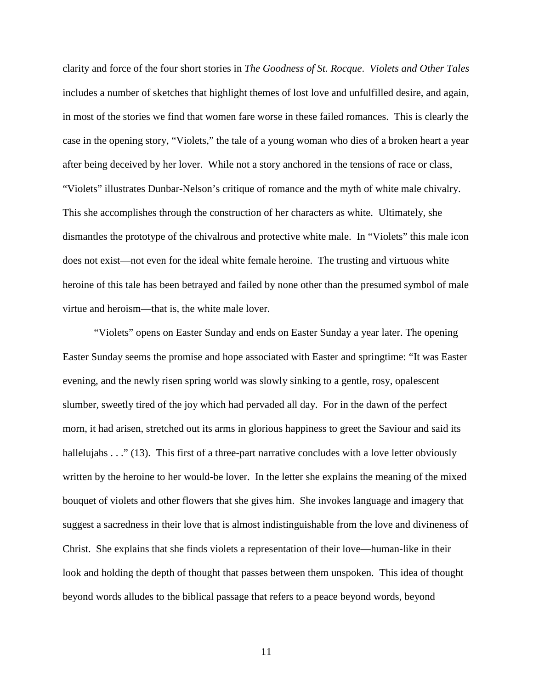clarity and force of the four short stories in *The Goodness of St. Rocque*. *Violets and Other Tales* includes a number of sketches that highlight themes of lost love and unfulfilled desire, and again, in most of the stories we find that women fare worse in these failed romances. This is clearly the case in the opening story, "Violets," the tale of a young woman who dies of a broken heart a year after being deceived by her lover. While not a story anchored in the tensions of race or class, "Violets" illustrates Dunbar-Nelson's critique of romance and the myth of white male chivalry. This she accomplishes through the construction of her characters as white. Ultimately, she dismantles the prototype of the chivalrous and protective white male. In "Violets" this male icon does not exist—not even for the ideal white female heroine. The trusting and virtuous white heroine of this tale has been betrayed and failed by none other than the presumed symbol of male virtue and heroism—that is, the white male lover.

"Violets" opens on Easter Sunday and ends on Easter Sunday a year later. The opening Easter Sunday seems the promise and hope associated with Easter and springtime: "It was Easter evening, and the newly risen spring world was slowly sinking to a gentle, rosy, opalescent slumber, sweetly tired of the joy which had pervaded all day. For in the dawn of the perfect morn, it had arisen, stretched out its arms in glorious happiness to greet the Saviour and said its hallelujahs . . ." (13). This first of a three-part narrative concludes with a love letter obviously written by the heroine to her would-be lover. In the letter she explains the meaning of the mixed bouquet of violets and other flowers that she gives him. She invokes language and imagery that suggest a sacredness in their love that is almost indistinguishable from the love and divineness of Christ. She explains that she finds violets a representation of their love—human-like in their look and holding the depth of thought that passes between them unspoken. This idea of thought beyond words alludes to the biblical passage that refers to a peace beyond words, beyond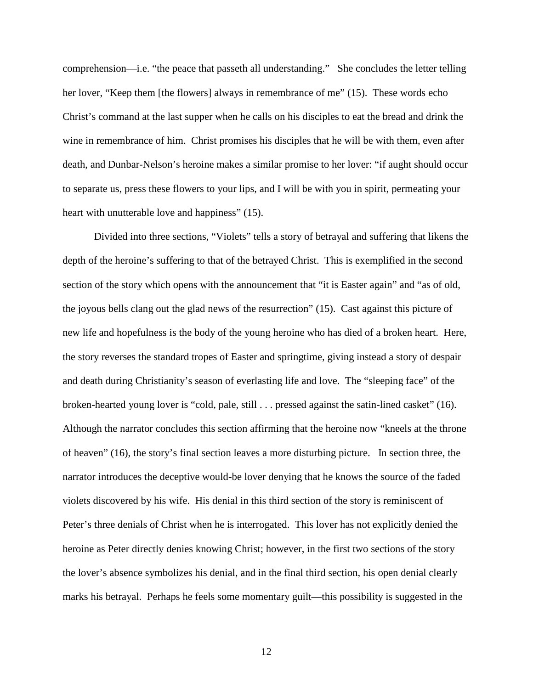comprehension—i.e. "the peace that passeth all understanding." She concludes the letter telling her lover, "Keep them [the flowers] always in remembrance of me" (15). These words echo Christ's command at the last supper when he calls on his disciples to eat the bread and drink the wine in remembrance of him. Christ promises his disciples that he will be with them, even after death, and Dunbar-Nelson's heroine makes a similar promise to her lover: "if aught should occur to separate us, press these flowers to your lips, and I will be with you in spirit, permeating your heart with unutterable love and happiness" (15).

Divided into three sections, "Violets" tells a story of betrayal and suffering that likens the depth of the heroine's suffering to that of the betrayed Christ. This is exemplified in the second section of the story which opens with the announcement that "it is Easter again" and "as of old, the joyous bells clang out the glad news of the resurrection" (15). Cast against this picture of new life and hopefulness is the body of the young heroine who has died of a broken heart. Here, the story reverses the standard tropes of Easter and springtime, giving instead a story of despair and death during Christianity's season of everlasting life and love. The "sleeping face" of the broken-hearted young lover is "cold, pale, still . . . pressed against the satin-lined casket" (16). Although the narrator concludes this section affirming that the heroine now "kneels at the throne of heaven" (16), the story's final section leaves a more disturbing picture. In section three, the narrator introduces the deceptive would-be lover denying that he knows the source of the faded violets discovered by his wife. His denial in this third section of the story is reminiscent of Peter's three denials of Christ when he is interrogated. This lover has not explicitly denied the heroine as Peter directly denies knowing Christ; however, in the first two sections of the story the lover's absence symbolizes his denial, and in the final third section, his open denial clearly marks his betrayal. Perhaps he feels some momentary guilt—this possibility is suggested in the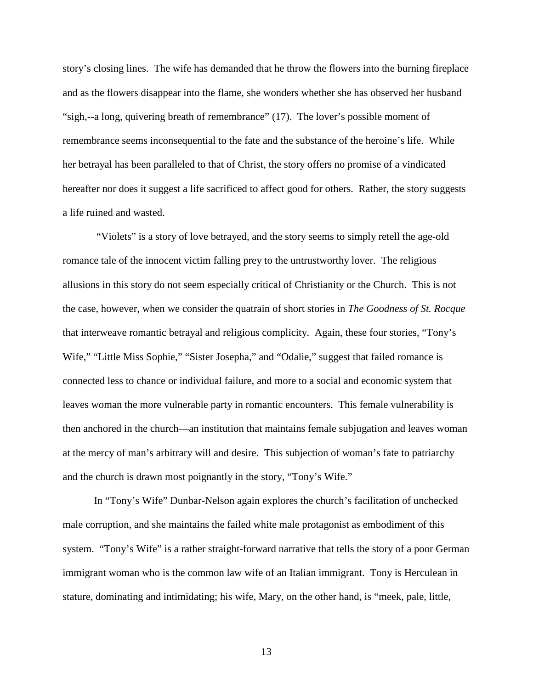story's closing lines. The wife has demanded that he throw the flowers into the burning fireplace and as the flowers disappear into the flame, she wonders whether she has observed her husband "sigh,--a long, quivering breath of remembrance" (17). The lover's possible moment of remembrance seems inconsequential to the fate and the substance of the heroine's life. While her betrayal has been paralleled to that of Christ, the story offers no promise of a vindicated hereafter nor does it suggest a life sacrificed to affect good for others. Rather, the story suggests a life ruined and wasted.

"Violets" is a story of love betrayed, and the story seems to simply retell the age-old romance tale of the innocent victim falling prey to the untrustworthy lover. The religious allusions in this story do not seem especially critical of Christianity or the Church. This is not the case, however, when we consider the quatrain of short stories in *The Goodness of St. Rocque* that interweave romantic betrayal and religious complicity. Again, these four stories, "Tony's Wife," "Little Miss Sophie," "Sister Josepha," and "Odalie," suggest that failed romance is connected less to chance or individual failure, and more to a social and economic system that leaves woman the more vulnerable party in romantic encounters. This female vulnerability is then anchored in the church—an institution that maintains female subjugation and leaves woman at the mercy of man's arbitrary will and desire. This subjection of woman's fate to patriarchy and the church is drawn most poignantly in the story, "Tony's Wife."

In "Tony's Wife" Dunbar-Nelson again explores the church's facilitation of unchecked male corruption, and she maintains the failed white male protagonist as embodiment of this system. "Tony's Wife" is a rather straight-forward narrative that tells the story of a poor German immigrant woman who is the common law wife of an Italian immigrant. Tony is Herculean in stature, dominating and intimidating; his wife, Mary, on the other hand, is "meek, pale, little,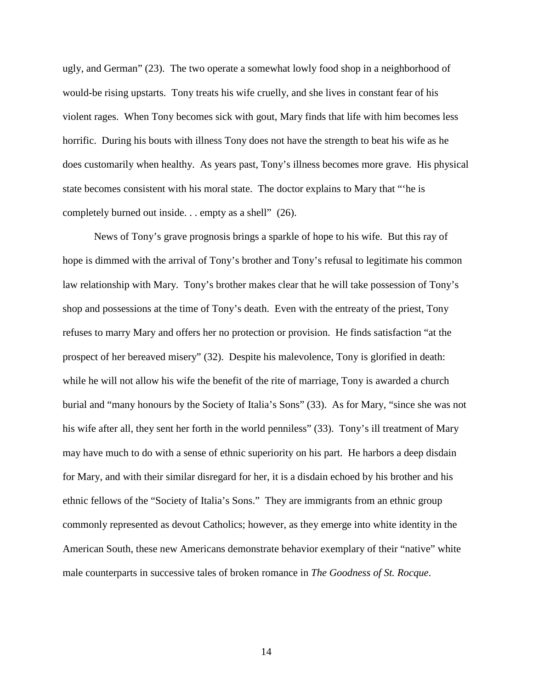ugly, and German" (23). The two operate a somewhat lowly food shop in a neighborhood of would-be rising upstarts. Tony treats his wife cruelly, and she lives in constant fear of his violent rages. When Tony becomes sick with gout, Mary finds that life with him becomes less horrific. During his bouts with illness Tony does not have the strength to beat his wife as he does customarily when healthy. As years past, Tony's illness becomes more grave. His physical state becomes consistent with his moral state. The doctor explains to Mary that "'he is completely burned out inside. . . empty as a shell" (26).

News of Tony's grave prognosis brings a sparkle of hope to his wife. But this ray of hope is dimmed with the arrival of Tony's brother and Tony's refusal to legitimate his common law relationship with Mary. Tony's brother makes clear that he will take possession of Tony's shop and possessions at the time of Tony's death. Even with the entreaty of the priest, Tony refuses to marry Mary and offers her no protection or provision. He finds satisfaction "at the prospect of her bereaved misery" (32). Despite his malevolence, Tony is glorified in death: while he will not allow his wife the benefit of the rite of marriage, Tony is awarded a church burial and "many honours by the Society of Italia's Sons" (33). As for Mary, "since she was not his wife after all, they sent her forth in the world penniless" (33). Tony's ill treatment of Mary may have much to do with a sense of ethnic superiority on his part. He harbors a deep disdain for Mary, and with their similar disregard for her, it is a disdain echoed by his brother and his ethnic fellows of the "Society of Italia's Sons." They are immigrants from an ethnic group commonly represented as devout Catholics; however, as they emerge into white identity in the American South, these new Americans demonstrate behavior exemplary of their "native" white male counterparts in successive tales of broken romance in *The Goodness of St. Rocque*.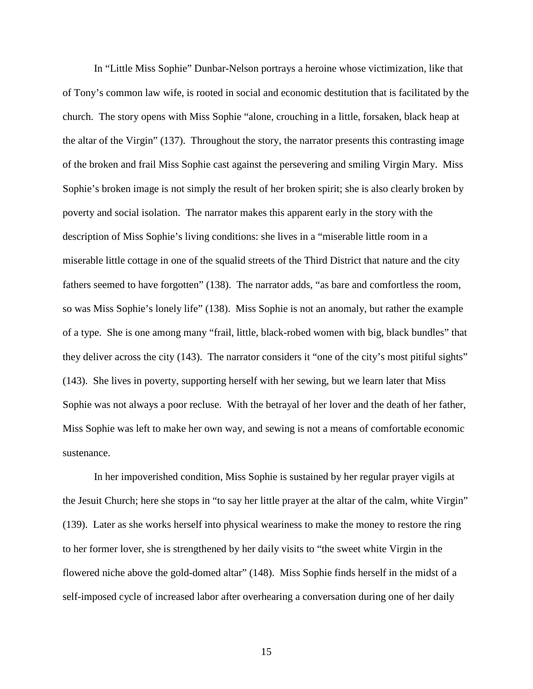In "Little Miss Sophie" Dunbar-Nelson portrays a heroine whose victimization, like that of Tony's common law wife, is rooted in social and economic destitution that is facilitated by the church. The story opens with Miss Sophie "alone, crouching in a little, forsaken, black heap at the altar of the Virgin" (137). Throughout the story, the narrator presents this contrasting image of the broken and frail Miss Sophie cast against the persevering and smiling Virgin Mary. Miss Sophie's broken image is not simply the result of her broken spirit; she is also clearly broken by poverty and social isolation. The narrator makes this apparent early in the story with the description of Miss Sophie's living conditions: she lives in a "miserable little room in a miserable little cottage in one of the squalid streets of the Third District that nature and the city fathers seemed to have forgotten" (138). The narrator adds, "as bare and comfortless the room, so was Miss Sophie's lonely life" (138). Miss Sophie is not an anomaly, but rather the example of a type. She is one among many "frail, little, black-robed women with big, black bundles" that they deliver across the city (143). The narrator considers it "one of the city's most pitiful sights" (143). She lives in poverty, supporting herself with her sewing, but we learn later that Miss Sophie was not always a poor recluse. With the betrayal of her lover and the death of her father, Miss Sophie was left to make her own way, and sewing is not a means of comfortable economic sustenance.

In her impoverished condition, Miss Sophie is sustained by her regular prayer vigils at the Jesuit Church; here she stops in "to say her little prayer at the altar of the calm, white Virgin" (139). Later as she works herself into physical weariness to make the money to restore the ring to her former lover, she is strengthened by her daily visits to "the sweet white Virgin in the flowered niche above the gold-domed altar" (148). Miss Sophie finds herself in the midst of a self-imposed cycle of increased labor after overhearing a conversation during one of her daily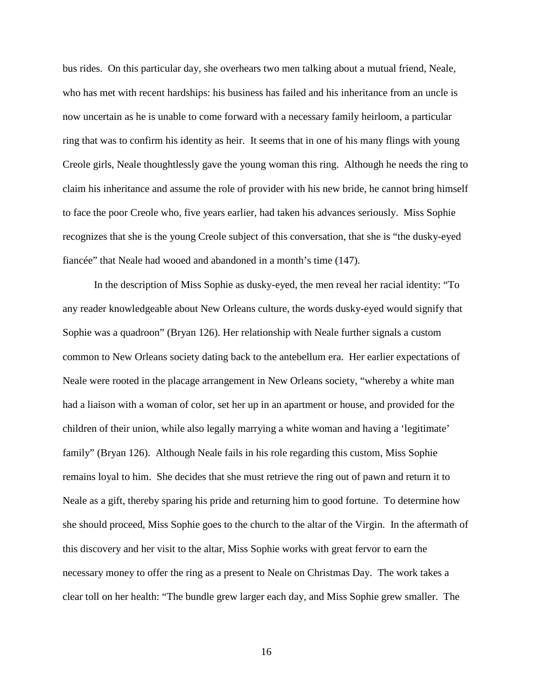bus rides. On this particular day, she overhears two men talking about a mutual friend, Neale, who has met with recent hardships: his business has failed and his inheritance from an uncle is now uncertain as he is unable to come forward with a necessary family heirloom, a particular ring that was to confirm his identity as heir. It seems that in one of his many flings with young Creole girls, Neale thoughtlessly gave the young woman this ring. Although he needs the ring to claim his inheritance and assume the role of provider with his new bride, he cannot bring himself to face the poor Creole who, five years earlier, had taken his advances seriously. Miss Sophie recognizes that she is the young Creole subject of this conversation, that she is "the dusky-eyed fiancée" that Neale had wooed and abandoned in a month's time (147).

In the description of Miss Sophie as dusky-eyed, the men reveal her racial identity: "To any reader knowledgeable about New Orleans culture, the words dusky-eyed would signify that Sophie was a quadroon" (Bryan 126). Her relationship with Neale further signals a custom common to New Orleans society dating back to the antebellum era. Her earlier expectations of Neale were rooted in the placage arrangement in New Orleans society, "whereby a white man had a liaison with a woman of color, set her up in an apartment or house, and provided for the children of their union, while also legally marrying a white woman and having a 'legitimate' family" (Bryan 126). Although Neale fails in his role regarding this custom, Miss Sophie remains loyal to him. She decides that she must retrieve the ring out of pawn and return it to Neale as a gift, thereby sparing his pride and returning him to good fortune. To determine how she should proceed, Miss Sophie goes to the church to the altar of the Virgin. In the aftermath of this discovery and her visit to the altar, Miss Sophie works with great fervor to earn the necessary money to offer the ring as a present to Neale on Christmas Day. The work takes a clear toll on her health: "The bundle grew larger each day, and Miss Sophie grew smaller. The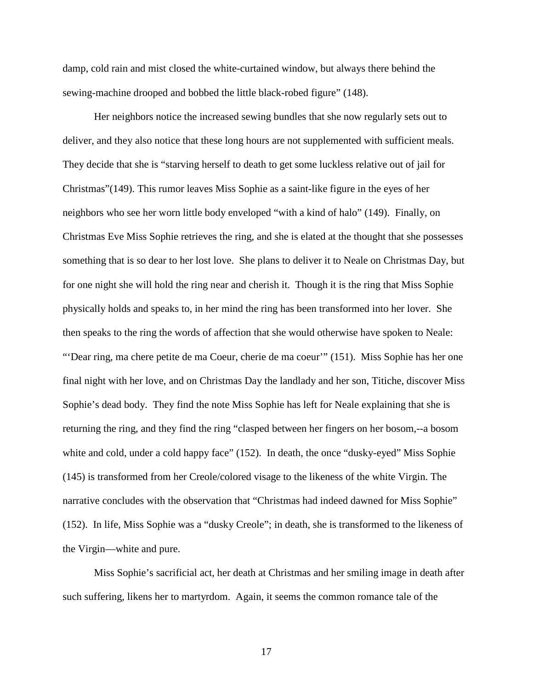damp, cold rain and mist closed the white-curtained window, but always there behind the sewing-machine drooped and bobbed the little black-robed figure" (148).

Her neighbors notice the increased sewing bundles that she now regularly sets out to deliver, and they also notice that these long hours are not supplemented with sufficient meals. They decide that she is "starving herself to death to get some luckless relative out of jail for Christmas"(149). This rumor leaves Miss Sophie as a saint-like figure in the eyes of her neighbors who see her worn little body enveloped "with a kind of halo" (149). Finally, on Christmas Eve Miss Sophie retrieves the ring, and she is elated at the thought that she possesses something that is so dear to her lost love. She plans to deliver it to Neale on Christmas Day, but for one night she will hold the ring near and cherish it. Though it is the ring that Miss Sophie physically holds and speaks to, in her mind the ring has been transformed into her lover. She then speaks to the ring the words of affection that she would otherwise have spoken to Neale: "'Dear ring, ma chere petite de ma Coeur, cherie de ma coeur'" (151). Miss Sophie has her one final night with her love, and on Christmas Day the landlady and her son, Titiche, discover Miss Sophie's dead body. They find the note Miss Sophie has left for Neale explaining that she is returning the ring, and they find the ring "clasped between her fingers on her bosom,--a bosom white and cold, under a cold happy face" (152). In death, the once "dusky-eyed" Miss Sophie (145) is transformed from her Creole/colored visage to the likeness of the white Virgin. The narrative concludes with the observation that "Christmas had indeed dawned for Miss Sophie" (152). In life, Miss Sophie was a "dusky Creole"; in death, she is transformed to the likeness of the Virgin—white and pure.

Miss Sophie's sacrificial act, her death at Christmas and her smiling image in death after such suffering, likens her to martyrdom. Again, it seems the common romance tale of the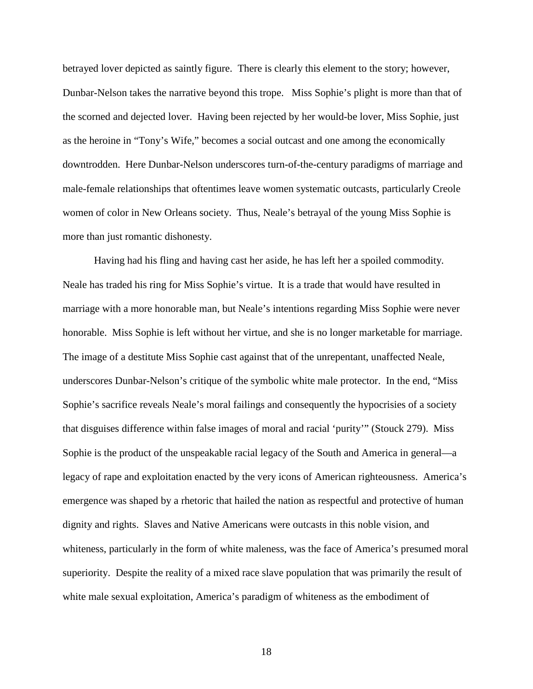betrayed lover depicted as saintly figure. There is clearly this element to the story; however, Dunbar-Nelson takes the narrative beyond this trope. Miss Sophie's plight is more than that of the scorned and dejected lover. Having been rejected by her would-be lover, Miss Sophie, just as the heroine in "Tony's Wife," becomes a social outcast and one among the economically downtrodden. Here Dunbar-Nelson underscores turn-of-the-century paradigms of marriage and male-female relationships that oftentimes leave women systematic outcasts, particularly Creole women of color in New Orleans society. Thus, Neale's betrayal of the young Miss Sophie is more than just romantic dishonesty.

Having had his fling and having cast her aside, he has left her a spoiled commodity. Neale has traded his ring for Miss Sophie's virtue. It is a trade that would have resulted in marriage with a more honorable man, but Neale's intentions regarding Miss Sophie were never honorable. Miss Sophie is left without her virtue, and she is no longer marketable for marriage. The image of a destitute Miss Sophie cast against that of the unrepentant, unaffected Neale, underscores Dunbar-Nelson's critique of the symbolic white male protector. In the end, "Miss Sophie's sacrifice reveals Neale's moral failings and consequently the hypocrisies of a society that disguises difference within false images of moral and racial 'purity'" (Stouck 279). Miss Sophie is the product of the unspeakable racial legacy of the South and America in general—a legacy of rape and exploitation enacted by the very icons of American righteousness. America's emergence was shaped by a rhetoric that hailed the nation as respectful and protective of human dignity and rights. Slaves and Native Americans were outcasts in this noble vision, and whiteness, particularly in the form of white maleness, was the face of America's presumed moral superiority. Despite the reality of a mixed race slave population that was primarily the result of white male sexual exploitation, America's paradigm of whiteness as the embodiment of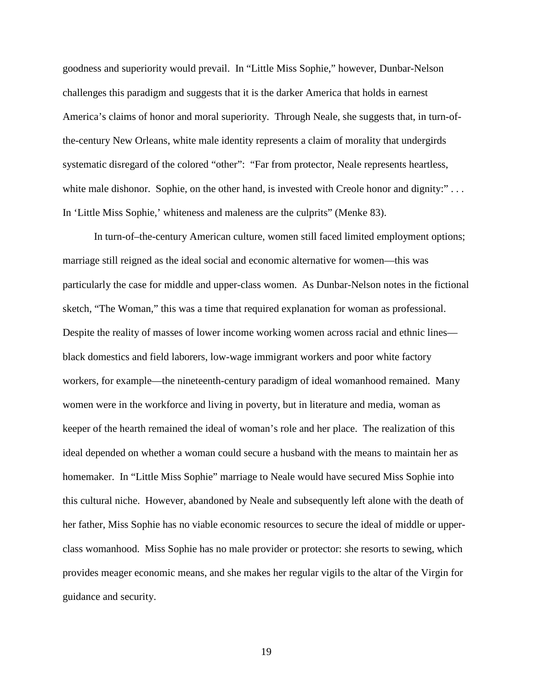goodness and superiority would prevail. In "Little Miss Sophie," however, Dunbar-Nelson challenges this paradigm and suggests that it is the darker America that holds in earnest America's claims of honor and moral superiority. Through Neale, she suggests that, in turn-ofthe-century New Orleans, white male identity represents a claim of morality that undergirds systematic disregard of the colored "other": "Far from protector, Neale represents heartless, white male dishonor. Sophie, on the other hand, is invested with Creole honor and dignity:"... In 'Little Miss Sophie,' whiteness and maleness are the culprits" (Menke 83).

In turn-of–the-century American culture, women still faced limited employment options; marriage still reigned as the ideal social and economic alternative for women—this was particularly the case for middle and upper-class women. As Dunbar-Nelson notes in the fictional sketch, "The Woman," this was a time that required explanation for woman as professional. Despite the reality of masses of lower income working women across racial and ethnic lines black domestics and field laborers, low-wage immigrant workers and poor white factory workers, for example—the nineteenth-century paradigm of ideal womanhood remained. Many women were in the workforce and living in poverty, but in literature and media, woman as keeper of the hearth remained the ideal of woman's role and her place. The realization of this ideal depended on whether a woman could secure a husband with the means to maintain her as homemaker. In "Little Miss Sophie" marriage to Neale would have secured Miss Sophie into this cultural niche. However, abandoned by Neale and subsequently left alone with the death of her father, Miss Sophie has no viable economic resources to secure the ideal of middle or upperclass womanhood. Miss Sophie has no male provider or protector: she resorts to sewing, which provides meager economic means, and she makes her regular vigils to the altar of the Virgin for guidance and security.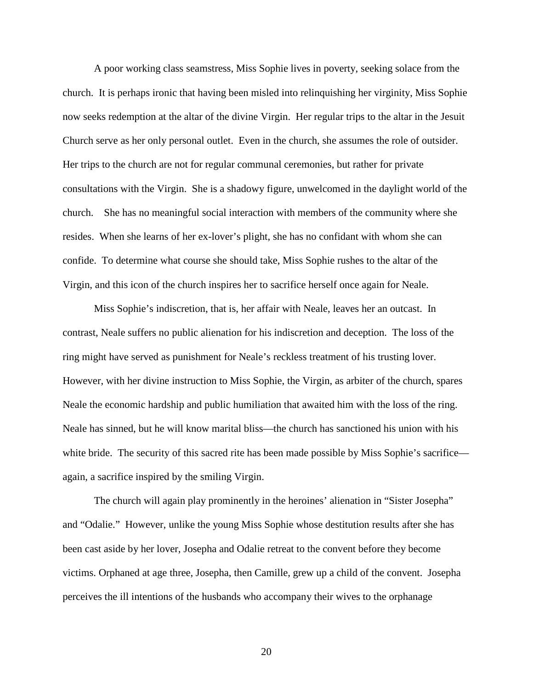A poor working class seamstress, Miss Sophie lives in poverty, seeking solace from the church. It is perhaps ironic that having been misled into relinquishing her virginity, Miss Sophie now seeks redemption at the altar of the divine Virgin. Her regular trips to the altar in the Jesuit Church serve as her only personal outlet. Even in the church, she assumes the role of outsider. Her trips to the church are not for regular communal ceremonies, but rather for private consultations with the Virgin. She is a shadowy figure, unwelcomed in the daylight world of the church. She has no meaningful social interaction with members of the community where she resides. When she learns of her ex-lover's plight, she has no confidant with whom she can confide. To determine what course she should take, Miss Sophie rushes to the altar of the Virgin, and this icon of the church inspires her to sacrifice herself once again for Neale.

Miss Sophie's indiscretion, that is, her affair with Neale, leaves her an outcast. In contrast, Neale suffers no public alienation for his indiscretion and deception. The loss of the ring might have served as punishment for Neale's reckless treatment of his trusting lover. However, with her divine instruction to Miss Sophie, the Virgin, as arbiter of the church, spares Neale the economic hardship and public humiliation that awaited him with the loss of the ring. Neale has sinned, but he will know marital bliss—the church has sanctioned his union with his white bride. The security of this sacred rite has been made possible by Miss Sophie's sacrifice again, a sacrifice inspired by the smiling Virgin.

The church will again play prominently in the heroines' alienation in "Sister Josepha" and "Odalie." However, unlike the young Miss Sophie whose destitution results after she has been cast aside by her lover, Josepha and Odalie retreat to the convent before they become victims. Orphaned at age three, Josepha, then Camille, grew up a child of the convent. Josepha perceives the ill intentions of the husbands who accompany their wives to the orphanage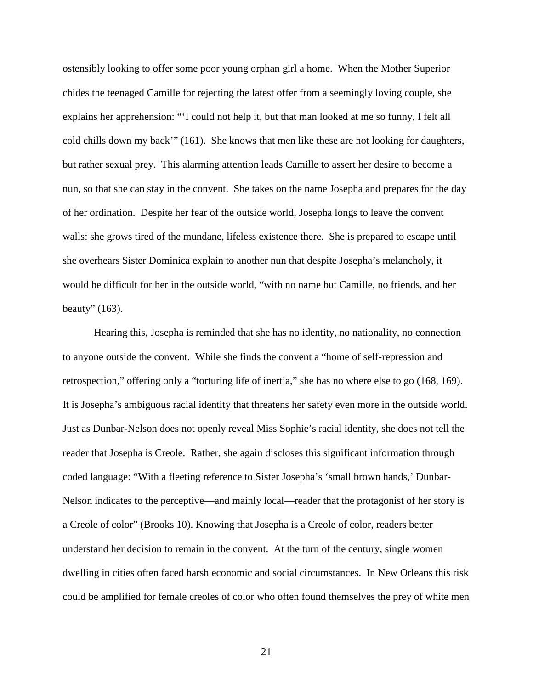ostensibly looking to offer some poor young orphan girl a home. When the Mother Superior chides the teenaged Camille for rejecting the latest offer from a seemingly loving couple, she explains her apprehension: "'I could not help it, but that man looked at me so funny, I felt all cold chills down my back'" (161). She knows that men like these are not looking for daughters, but rather sexual prey. This alarming attention leads Camille to assert her desire to become a nun, so that she can stay in the convent. She takes on the name Josepha and prepares for the day of her ordination. Despite her fear of the outside world, Josepha longs to leave the convent walls: she grows tired of the mundane, lifeless existence there. She is prepared to escape until she overhears Sister Dominica explain to another nun that despite Josepha's melancholy, it would be difficult for her in the outside world, "with no name but Camille, no friends, and her beauty" (163).

Hearing this, Josepha is reminded that she has no identity, no nationality, no connection to anyone outside the convent. While she finds the convent a "home of self-repression and retrospection," offering only a "torturing life of inertia," she has no where else to go (168, 169). It is Josepha's ambiguous racial identity that threatens her safety even more in the outside world. Just as Dunbar-Nelson does not openly reveal Miss Sophie's racial identity, she does not tell the reader that Josepha is Creole. Rather, she again discloses this significant information through coded language: "With a fleeting reference to Sister Josepha's 'small brown hands,' Dunbar-Nelson indicates to the perceptive—and mainly local—reader that the protagonist of her story is a Creole of color" (Brooks 10). Knowing that Josepha is a Creole of color, readers better understand her decision to remain in the convent. At the turn of the century, single women dwelling in cities often faced harsh economic and social circumstances. In New Orleans this risk could be amplified for female creoles of color who often found themselves the prey of white men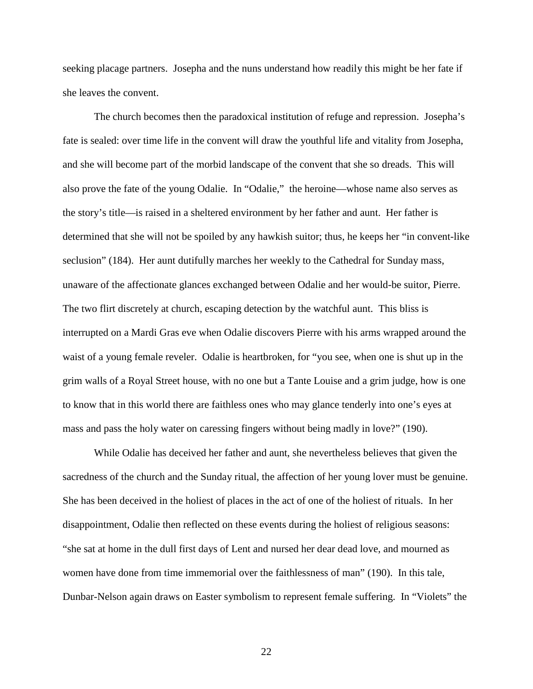seeking placage partners. Josepha and the nuns understand how readily this might be her fate if she leaves the convent.

The church becomes then the paradoxical institution of refuge and repression. Josepha's fate is sealed: over time life in the convent will draw the youthful life and vitality from Josepha, and she will become part of the morbid landscape of the convent that she so dreads. This will also prove the fate of the young Odalie. In "Odalie," the heroine—whose name also serves as the story's title—is raised in a sheltered environment by her father and aunt. Her father is determined that she will not be spoiled by any hawkish suitor; thus, he keeps her "in convent-like seclusion" (184). Her aunt dutifully marches her weekly to the Cathedral for Sunday mass, unaware of the affectionate glances exchanged between Odalie and her would-be suitor, Pierre. The two flirt discretely at church, escaping detection by the watchful aunt. This bliss is interrupted on a Mardi Gras eve when Odalie discovers Pierre with his arms wrapped around the waist of a young female reveler. Odalie is heartbroken, for "you see, when one is shut up in the grim walls of a Royal Street house, with no one but a Tante Louise and a grim judge, how is one to know that in this world there are faithless ones who may glance tenderly into one's eyes at mass and pass the holy water on caressing fingers without being madly in love?" (190).

While Odalie has deceived her father and aunt, she nevertheless believes that given the sacredness of the church and the Sunday ritual, the affection of her young lover must be genuine. She has been deceived in the holiest of places in the act of one of the holiest of rituals. In her disappointment, Odalie then reflected on these events during the holiest of religious seasons: "she sat at home in the dull first days of Lent and nursed her dear dead love, and mourned as women have done from time immemorial over the faithlessness of man" (190). In this tale, Dunbar-Nelson again draws on Easter symbolism to represent female suffering. In "Violets" the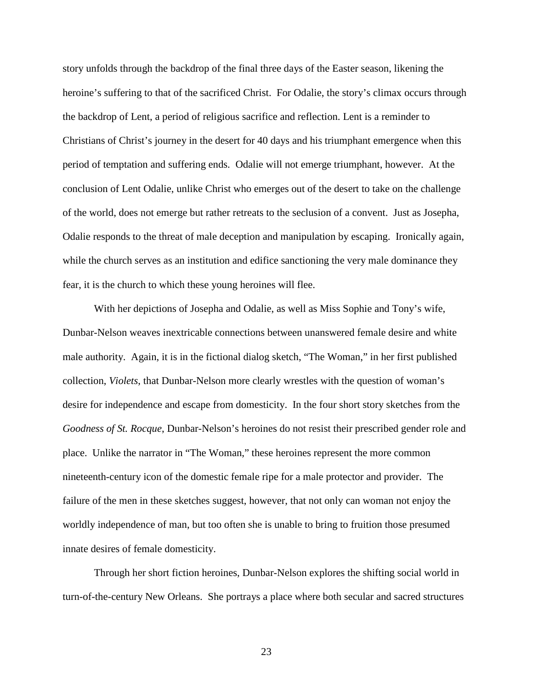story unfolds through the backdrop of the final three days of the Easter season, likening the heroine's suffering to that of the sacrificed Christ. For Odalie, the story's climax occurs through the backdrop of Lent, a period of religious sacrifice and reflection. Lent is a reminder to Christians of Christ's journey in the desert for 40 days and his triumphant emergence when this period of temptation and suffering ends. Odalie will not emerge triumphant, however. At the conclusion of Lent Odalie, unlike Christ who emerges out of the desert to take on the challenge of the world, does not emerge but rather retreats to the seclusion of a convent. Just as Josepha, Odalie responds to the threat of male deception and manipulation by escaping. Ironically again, while the church serves as an institution and edifice sanctioning the very male dominance they fear, it is the church to which these young heroines will flee.

With her depictions of Josepha and Odalie, as well as Miss Sophie and Tony's wife, Dunbar-Nelson weaves inextricable connections between unanswered female desire and white male authority. Again, it is in the fictional dialog sketch, "The Woman," in her first published collection, *Violets*, that Dunbar-Nelson more clearly wrestles with the question of woman's desire for independence and escape from domesticity. In the four short story sketches from the *Goodness of St. Rocque*, Dunbar-Nelson's heroines do not resist their prescribed gender role and place. Unlike the narrator in "The Woman," these heroines represent the more common nineteenth-century icon of the domestic female ripe for a male protector and provider. The failure of the men in these sketches suggest, however, that not only can woman not enjoy the worldly independence of man, but too often she is unable to bring to fruition those presumed innate desires of female domesticity.

Through her short fiction heroines, Dunbar-Nelson explores the shifting social world in turn-of-the-century New Orleans. She portrays a place where both secular and sacred structures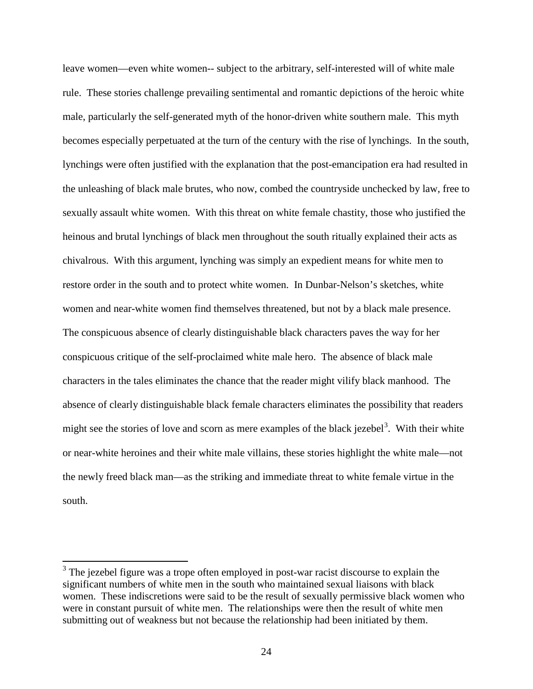leave women—even white women-- subject to the arbitrary, self-interested will of white male rule. These stories challenge prevailing sentimental and romantic depictions of the heroic white male, particularly the self-generated myth of the honor-driven white southern male. This myth becomes especially perpetuated at the turn of the century with the rise of lynchings. In the south, lynchings were often justified with the explanation that the post-emancipation era had resulted in the unleashing of black male brutes, who now, combed the countryside unchecked by law, free to sexually assault white women. With this threat on white female chastity, those who justified the heinous and brutal lynchings of black men throughout the south ritually explained their acts as chivalrous. With this argument, lynching was simply an expedient means for white men to restore order in the south and to protect white women. In Dunbar-Nelson's sketches, white women and near-white women find themselves threatened, but not by a black male presence. The conspicuous absence of clearly distinguishable black characters paves the way for her conspicuous critique of the self-proclaimed white male hero. The absence of black male characters in the tales eliminates the chance that the reader might vilify black manhood. The absence of clearly distinguishable black female characters eliminates the possibility that readers might see the stories of love and scorn as mere examples of the black jezebel<sup>[3](#page-24-0)</sup>. With their white or near-white heroines and their white male villains, these stories highlight the white male—not the newly freed black man—as the striking and immediate threat to white female virtue in the south.

<span id="page-24-0"></span> $3$  The jezebel figure was a trope often employed in post-war racist discourse to explain the significant numbers of white men in the south who maintained sexual liaisons with black women. These indiscretions were said to be the result of sexually permissive black women who were in constant pursuit of white men. The relationships were then the result of white men submitting out of weakness but not because the relationship had been initiated by them.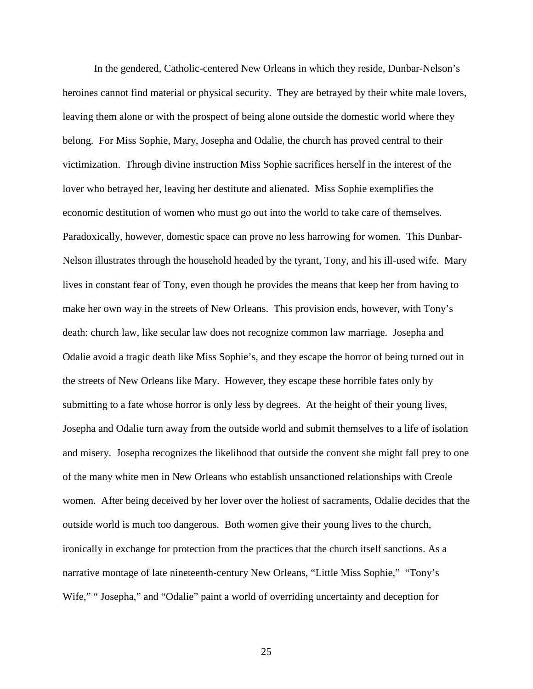In the gendered, Catholic-centered New Orleans in which they reside, Dunbar-Nelson's heroines cannot find material or physical security. They are betrayed by their white male lovers, leaving them alone or with the prospect of being alone outside the domestic world where they belong. For Miss Sophie, Mary, Josepha and Odalie, the church has proved central to their victimization. Through divine instruction Miss Sophie sacrifices herself in the interest of the lover who betrayed her, leaving her destitute and alienated. Miss Sophie exemplifies the economic destitution of women who must go out into the world to take care of themselves. Paradoxically, however, domestic space can prove no less harrowing for women. This Dunbar-Nelson illustrates through the household headed by the tyrant, Tony, and his ill-used wife. Mary lives in constant fear of Tony, even though he provides the means that keep her from having to make her own way in the streets of New Orleans. This provision ends, however, with Tony's death: church law, like secular law does not recognize common law marriage. Josepha and Odalie avoid a tragic death like Miss Sophie's, and they escape the horror of being turned out in the streets of New Orleans like Mary. However, they escape these horrible fates only by submitting to a fate whose horror is only less by degrees. At the height of their young lives, Josepha and Odalie turn away from the outside world and submit themselves to a life of isolation and misery. Josepha recognizes the likelihood that outside the convent she might fall prey to one of the many white men in New Orleans who establish unsanctioned relationships with Creole women. After being deceived by her lover over the holiest of sacraments, Odalie decides that the outside world is much too dangerous. Both women give their young lives to the church, ironically in exchange for protection from the practices that the church itself sanctions. As a narrative montage of late nineteenth-century New Orleans, "Little Miss Sophie," "Tony's Wife," "Josepha," and "Odalie" paint a world of overriding uncertainty and deception for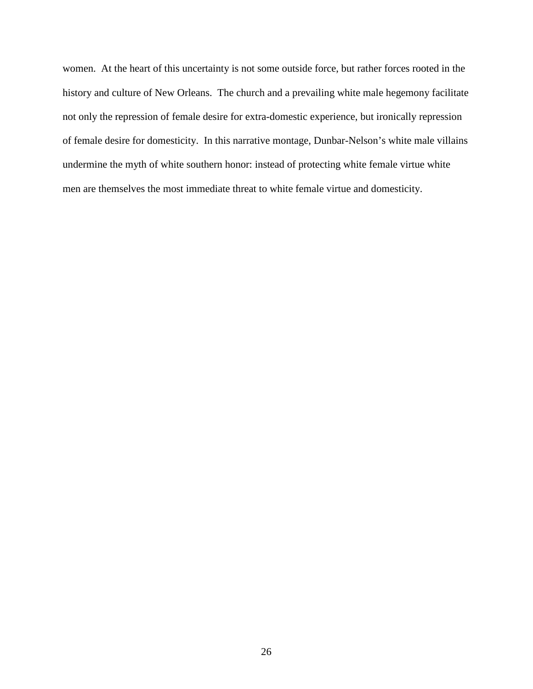women. At the heart of this uncertainty is not some outside force, but rather forces rooted in the history and culture of New Orleans. The church and a prevailing white male hegemony facilitate not only the repression of female desire for extra-domestic experience, but ironically repression of female desire for domesticity. In this narrative montage, Dunbar-Nelson's white male villains undermine the myth of white southern honor: instead of protecting white female virtue white men are themselves the most immediate threat to white female virtue and domesticity.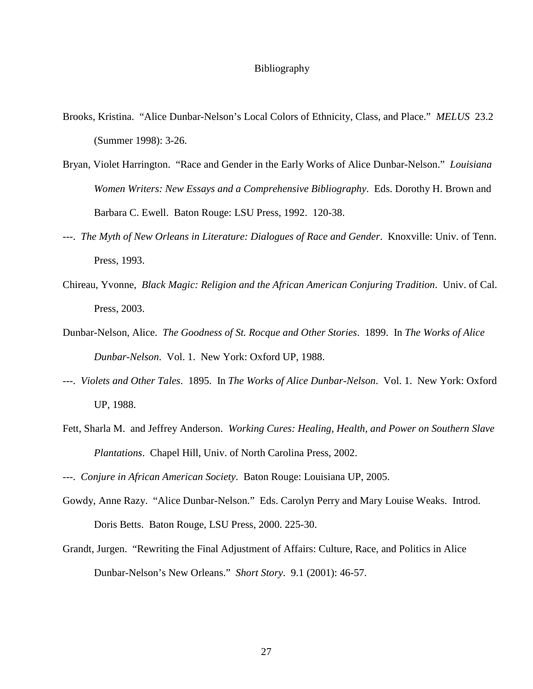## Bibliography

- Brooks, Kristina. "Alice Dunbar-Nelson's Local Colors of Ethnicity, Class, and Place." *MELUS* 23.2 (Summer 1998): 3-26.
- Bryan, Violet Harrington. "Race and Gender in the Early Works of Alice Dunbar-Nelson." *Louisiana Women Writers: New Essays and a Comprehensive Bibliography*. Eds. Dorothy H. Brown and Barbara C. Ewell. Baton Rouge: LSU Press, 1992. 120-38.
- ---. *The Myth of New Orleans in Literature: Dialogues of Race and Gender*. Knoxville: Univ. of Tenn. Press, 1993.
- Chireau, Yvonne, *Black Magic: Religion and the African American Conjuring Tradition*. Univ. of Cal. Press, 2003.
- Dunbar-Nelson, Alice. *The Goodness of St. Rocque and Other Stories*. 1899. In *The Works of Alice Dunbar-Nelson*. Vol. 1. New York: Oxford UP, 1988.
- ---. *Violets and Other Tales*. 1895. In *The Works of Alice Dunbar-Nelson*. Vol. 1. New York: Oxford UP, 1988.
- Fett, Sharla M. and Jeffrey Anderson. *Working Cures: Healing, Health, and Power on Southern Slave Plantations*. Chapel Hill, Univ. of North Carolina Press, 2002.

- Gowdy, Anne Razy. "Alice Dunbar-Nelson." Eds. Carolyn Perry and Mary Louise Weaks. Introd. Doris Betts. Baton Rouge, LSU Press, 2000. 225-30.
- Grandt, Jurgen. "Rewriting the Final Adjustment of Affairs: Culture, Race, and Politics in Alice Dunbar-Nelson's New Orleans." *Short Story*. 9.1 (2001): 46-57.

<sup>---.</sup> *Conjure in African American Society*. Baton Rouge: Louisiana UP, 2005.